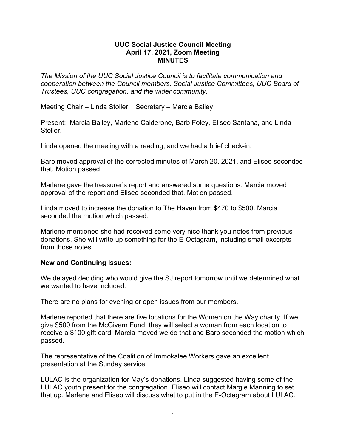## **UUC Social Justice Council Meeting April 17, 2021, Zoom Meeting MINUTES**

*The Mission of the UUC Social Justice Council is to facilitate communication and cooperation between the Council members, Social Justice Committees, UUC Board of Trustees, UUC congregation, and the wider community.*

Meeting Chair – Linda Stoller, Secretary – Marcia Bailey

Present: Marcia Bailey, Marlene Calderone, Barb Foley, Eliseo Santana, and Linda **Stoller** 

Linda opened the meeting with a reading, and we had a brief check-in.

Barb moved approval of the corrected minutes of March 20, 2021, and Eliseo seconded that. Motion passed.

Marlene gave the treasurer's report and answered some questions. Marcia moved approval of the report and Eliseo seconded that. Motion passed.

Linda moved to increase the donation to The Haven from \$470 to \$500. Marcia seconded the motion which passed.

Marlene mentioned she had received some very nice thank you notes from previous donations. She will write up something for the E-Octagram, including small excerpts from those notes

## **New and Continuing Issues:**

We delayed deciding who would give the SJ report tomorrow until we determined what we wanted to have included.

There are no plans for evening or open issues from our members.

Marlene reported that there are five locations for the Women on the Way charity. If we give \$500 from the McGivern Fund, they will select a woman from each location to receive a \$100 gift card. Marcia moved we do that and Barb seconded the motion which passed.

The representative of the Coalition of Immokalee Workers gave an excellent presentation at the Sunday service.

LULAC is the organization for May's donations. Linda suggested having some of the LULAC youth present for the congregation. Eliseo will contact Margie Manning to set that up. Marlene and Eliseo will discuss what to put in the E-Octagram about LULAC.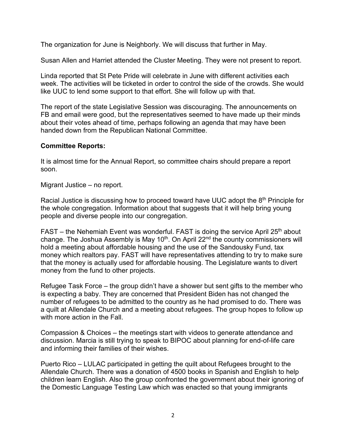The organization for June is Neighborly. We will discuss that further in May.

Susan Allen and Harriet attended the Cluster Meeting. They were not present to report.

Linda reported that St Pete Pride will celebrate in June with different activities each week. The activities will be ticketed in order to control the side of the crowds. She would like UUC to lend some support to that effort. She will follow up with that.

The report of the state Legislative Session was discouraging. The announcements on FB and email were good, but the representatives seemed to have made up their minds about their votes ahead of time, perhaps following an agenda that may have been handed down from the Republican National Committee.

## **Committee Reports:**

It is almost time for the Annual Report, so committee chairs should prepare a report soon.

Migrant Justice – no report.

Racial Justice is discussing how to proceed toward have UUC adopt the  $8<sup>th</sup>$  Principle for the whole congregation. Information about that suggests that it will help bring young people and diverse people into our congregation.

 $FAST - the Nehemiah Event was wonderful. FAST is doing the service April  $25<sup>th</sup>$  about$ change. The Joshua Assembly is May 10<sup>th</sup>. On April 22<sup>nd</sup> the county commissioners will hold a meeting about affordable housing and the use of the Sandousky Fund, tax money which realtors pay. FAST will have representatives attending to try to make sure that the money is actually used for affordable housing. The Legislature wants to divert money from the fund to other projects.

Refugee Task Force – the group didn't have a shower but sent gifts to the member who is expecting a baby. They are concerned that President Biden has not changed the number of refugees to be admitted to the country as he had promised to do. There was a quilt at Allendale Church and a meeting about refugees. The group hopes to follow up with more action in the Fall.

Compassion & Choices – the meetings start with videos to generate attendance and discussion. Marcia is still trying to speak to BIPOC about planning for end-of-life care and informing their families of their wishes.

Puerto Rico – LULAC participated in getting the quilt about Refugees brought to the Allendale Church. There was a donation of 4500 books in Spanish and English to help children learn English. Also the group confronted the government about their ignoring of the Domestic Language Testing Law which was enacted so that young immigrants